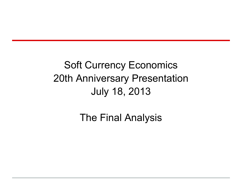Soft Currency Economics 20th Anniversary Presentation July 18, 2013

The Final Analysis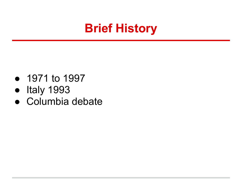### **Brief History**

- 1971 to 1997
- Italy 1993
- Columbia debate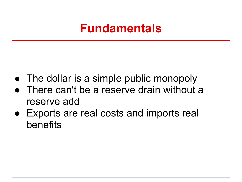#### **Fundamentals**

- The dollar is a simple public monopoly
- There can't be a reserve drain without a reserve add
- Exports are real costs and imports real benefits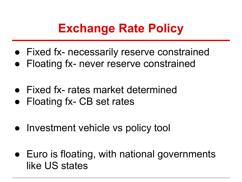## **Exchange Rate Policy**

- Fixed fx- necessarily reserve constrained
- Floating fx- never reserve constrained
- Fixed fx- rates market determined
- Floating fx- CB set rates
- Investment vehicle vs policy tool
- Euro is floating, with national governments like US states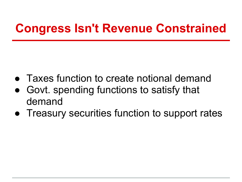## **Congress Isn't Revenue Constrained**

- Taxes function to create notional demand
- Govt. spending functions to satisfy that demand
- Treasury securities function to support rates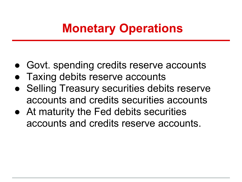## **Monetary Operations**

- Govt. spending credits reserve accounts
- **Taxing debits reserve accounts**
- Selling Treasury securities debits reserve accounts and credits securities accounts
- At maturity the Fed debits securities accounts and credits reserve accounts.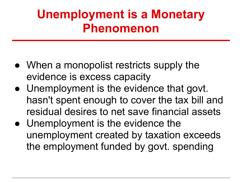## **Unemployment is a Monetary Phenomenon**

- When a monopolist restricts supply the evidence is excess capacity
- Unemployment is the evidence that govt. hasn't spent enough to cover the tax bill and residual desires to net save financial assets
- Unemployment is the evidence the unemployment created by taxation exceeds the employment funded by govt. spending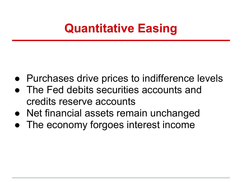## **Quantitative Easing**

- Purchases drive prices to indifference levels
- The Fed debits securities accounts and credits reserve accounts
- Net financial assets remain unchanged
- The economy forgoes interest income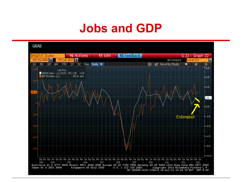#### **Jobs and GDP**

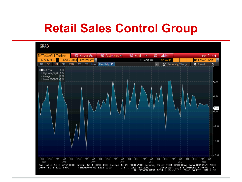### **Retail Sales Control Group**

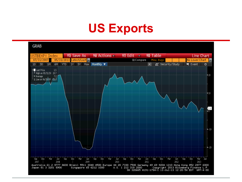### **US Exports**

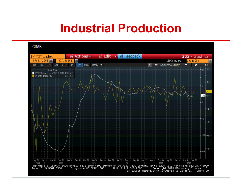#### **Industrial Production**

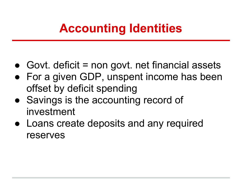## **Accounting Identities**

- $\bullet$  Govt. deficit = non govt. net financial assets
- For a given GDP, unspent income has been offset by deficit spending
- Savings is the accounting record of investment
- Loans create deposits and any required reserves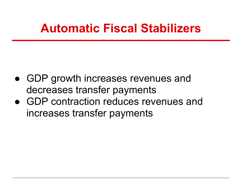#### **Automatic Fiscal Stabilizers**

- GDP growth increases revenues and decreases transfer payments
- GDP contraction reduces revenues and increases transfer payments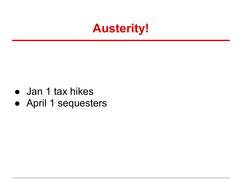#### **Austerity!**

- Jan 1 tax hikes
- April 1 sequesters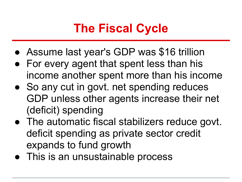## **The Fiscal Cycle**

- Assume last year's GDP was \$16 trillion
- For every agent that spent less than his income another spent more than his income
- So any cut in govt. net spending reduces GDP unless other agents increase their net (deficit) spending
- The automatic fiscal stabilizers reduce govt. deficit spending as private sector credit expands to fund growth
- This is an unsustainable process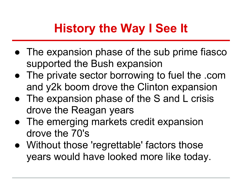# **History the Way I See It**

- The expansion phase of the sub prime fiasco supported the Bush expansion
- The private sector borrowing to fuel the .com and y2k boom drove the Clinton expansion
- The expansion phase of the S and L crisis drove the Reagan years
- The emerging markets credit expansion drove the 70's
- Without those 'regrettable' factors those years would have looked more like today.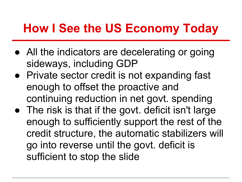## **How I See the US Economy Today**

- All the indicators are decelerating or going sideways, including GDP
- Private sector credit is not expanding fast enough to offset the proactive and continuing reduction in net govt. spending
- The risk is that if the govt. deficit isn't large enough to sufficiently support the rest of the credit structure, the automatic stabilizers will go into reverse until the govt. deficit is sufficient to stop the slide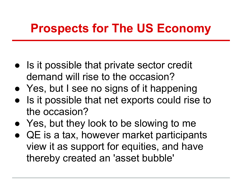### **Prospects for The US Economy**

- Is it possible that private sector credit demand will rise to the occasion?
- Yes, but I see no signs of it happening
- Is it possible that net exports could rise to the occasion?
- Yes, but they look to be slowing to me
- QE is a tax, however market participants view it as support for equities, and have thereby created an 'asset bubble'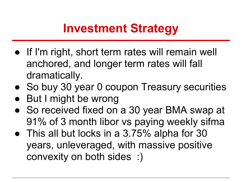### **Investment Strategy**

- If I'm right, short term rates will remain well anchored, and longer term rates will fall dramatically.
- So buy 30 year 0 coupon Treasury securities
- But I might be wrong
- So received fixed on a 30 year BMA swap at 91% of 3 month libor vs paying weekly sifma
- This all but locks in a 3.75% alpha for 30 years, unleveraged, with massive positive convexity on both sides :)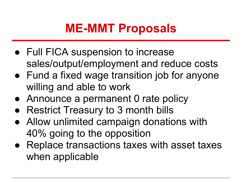## **ME-MMT Proposals**

- Full FICA suspension to increase sales/output/employment and reduce costs
- Fund a fixed wage transition job for anyone willing and able to work
- Announce a permanent 0 rate policy
- Restrict Treasury to 3 month bills
- Allow unlimited campaign donations with 40% going to the opposition
- Replace transactions taxes with asset taxes when applicable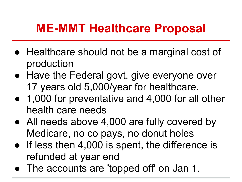### **ME-MMT Healthcare Proposal**

- Healthcare should not be a marginal cost of production
- Have the Federal govt. give everyone over 17 years old 5,000/year for healthcare.
- 1,000 for preventative and 4,000 for all other health care needs
- All needs above 4,000 are fully covered by Medicare, no co pays, no donut holes
- If less then 4,000 is spent, the difference is refunded at year end
- The accounts are 'topped off' on Jan 1.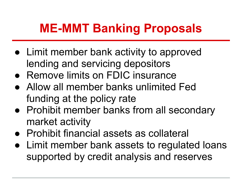## **ME-MMT Banking Proposals**

- Limit member bank activity to approved lending and servicing depositors
- Remove limits on FDIC insurance
- Allow all member banks unlimited Fed funding at the policy rate
- Prohibit member banks from all secondary market activity
- Prohibit financial assets as collateral
- Limit member bank assets to regulated loans supported by credit analysis and reserves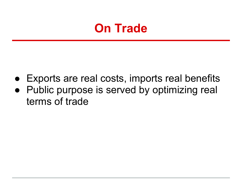

- Exports are real costs, imports real benefits
- Public purpose is served by optimizing real terms of trade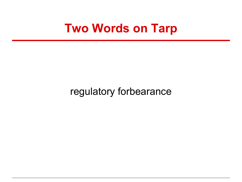#### **Two Words on Tarp**

regulatory forbearance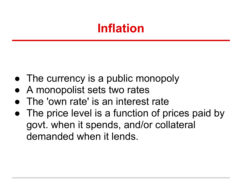## **Inflation**

- The currency is a public monopoly
- A monopolist sets two rates
- The 'own rate' is an interest rate
- The price level is a function of prices paid by govt. when it spends, and/or collateral demanded when it lends.